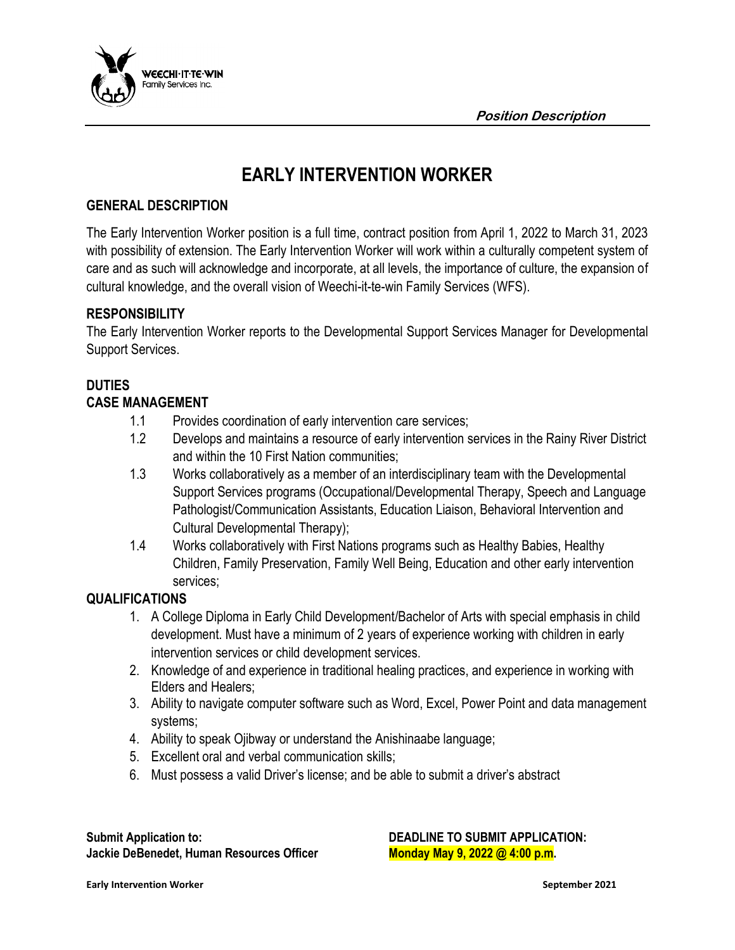

# **EARLY INTERVENTION WORKER**

### **GENERAL DESCRIPTION**

The Early Intervention Worker position is a full time, contract position from April 1, 2022 to March 31, 2023 with possibility of extension. The Early Intervention Worker will work within a culturally competent system of care and as such will acknowledge and incorporate, at all levels, the importance of culture, the expansion of cultural knowledge, and the overall vision of Weechi-it-te-win Family Services (WFS).

#### **RESPONSIBILITY**

The Early Intervention Worker reports to the Developmental Support Services Manager for Developmental Support Services.

# **DUTIES**

## **CASE MANAGEMENT**

- 1.1 Provides coordination of early intervention care services;
- 1.2 Develops and maintains a resource of early intervention services in the Rainy River District and within the 10 First Nation communities;
- 1.3 Works collaboratively as a member of an interdisciplinary team with the Developmental Support Services programs (Occupational/Developmental Therapy, Speech and Language Pathologist/Communication Assistants, Education Liaison, Behavioral Intervention and Cultural Developmental Therapy);
- 1.4 Works collaboratively with First Nations programs such as Healthy Babies, Healthy Children, Family Preservation, Family Well Being, Education and other early intervention services;

#### **QUALIFICATIONS**

- 1. A College Diploma in Early Child Development/Bachelor of Arts with special emphasis in child development. Must have a minimum of 2 years of experience working with children in early intervention services or child development services.
- 2. Knowledge of and experience in traditional healing practices, and experience in working with Elders and Healers;
- 3. Ability to navigate computer software such as Word, Excel, Power Point and data management systems;
- 4. Ability to speak Ojibway or understand the Anishinaabe language;
- 5. Excellent oral and verbal communication skills;
- 6. Must possess a valid Driver's license; and be able to submit a driver's abstract

Submit Application to: **DEADLINE TO SUBMIT APPLICATION: Jackie DeBenedet, Human Resources Officer Monday May 9, 2022 @ 4:00 p.m.** 

**Early Intervention Worker September 2021**